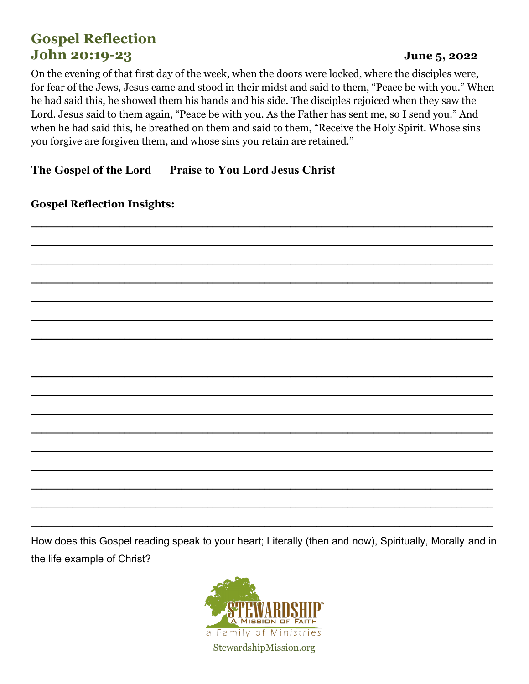# **Gospel Reflection John 20:19-23**

#### June 5, 2022

On the evening of that first day of the week, when the doors were locked, where the disciples were, for fear of the Jews, Jesus came and stood in their midst and said to them, "Peace be with you." When he had said this, he showed them his hands and his side. The disciples rejoiced when they saw the Lord. Jesus said to them again, "Peace be with you. As the Father has sent me, so I send you." And when he had said this, he breathed on them and said to them, "Receive the Holy Spirit. Whose sins you forgive are forgiven them, and whose sins you retain are retained."

The Gospel of the Lord — Praise to You Lord Jesus Christ

**Gospel Reflection Insights:** 

How does this Gospel reading speak to your heart; Literally (then and now), Spiritually, Morally and in the life example of Christ?